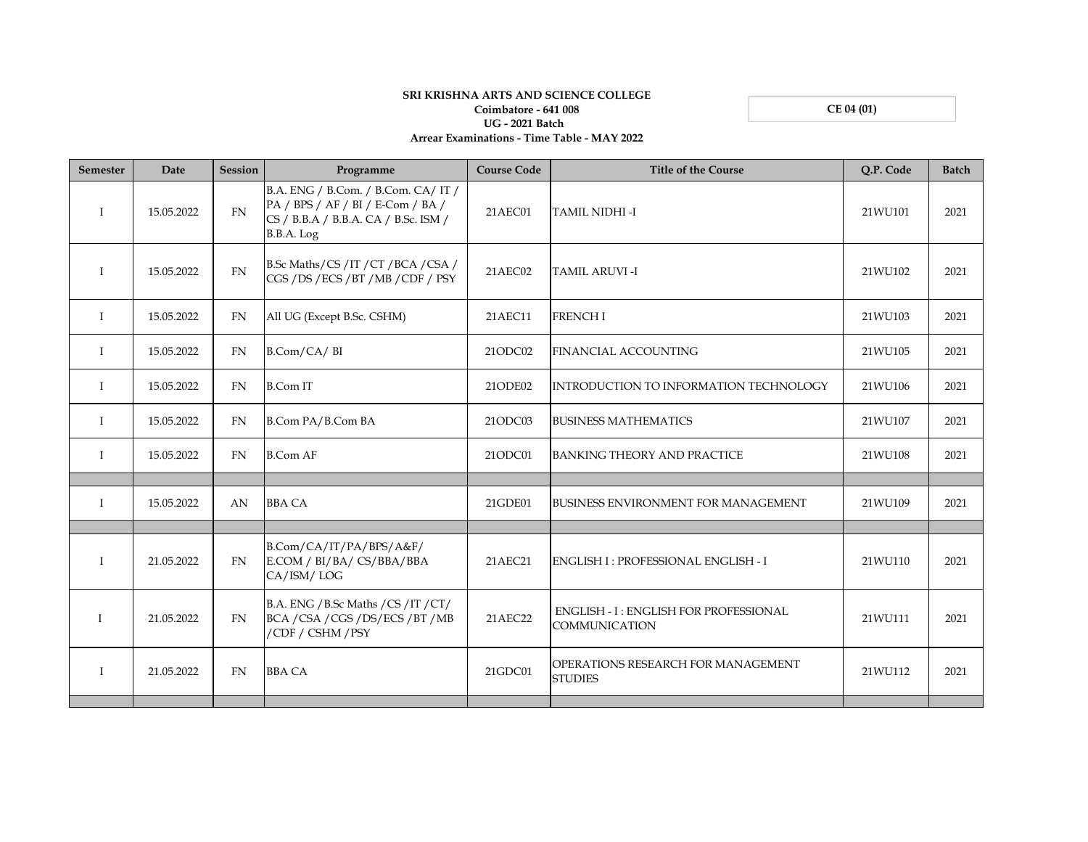**CE 04 (01)**

## **SRI KRISHNA ARTS AND SCIENCE COLLEGE Coimbatore - 641 008 UG - 2021 Batch Arrear Examinations - Time Table - MAY 2022**

| <b>Semester</b> | Date       | Session   | Programme                                                                                                                      | <b>Course Code</b> | <b>Title of the Course</b>                                    | O.P. Code | <b>Batch</b> |
|-----------------|------------|-----------|--------------------------------------------------------------------------------------------------------------------------------|--------------------|---------------------------------------------------------------|-----------|--------------|
| $\mathbf{I}$    | 15.05.2022 | <b>FN</b> | B.A. ENG / B.Com. / B.Com. CA/ IT /<br>PA / BPS / AF / BI / E-Com / BA /<br>CS / B.B.A / B.B.A. CA / B.Sc. ISM /<br>B.B.A. Log | 21AEC01            | TAMIL NIDHI -I                                                | 21WU101   | 2021         |
| Ι               | 15.05.2022 | FN        | B.Sc Maths/CS/IT/CT/BCA/CSA/<br>CGS / DS / ECS / BT / MB / CDF / PSY                                                           | 21AEC02            | TAMIL ARUVI-I                                                 | 21WU102   | 2021         |
| $\mathbf{I}$    | 15.05.2022 | <b>FN</b> | All UG (Except B.Sc. CSHM)                                                                                                     | 21AEC11            | <b>FRENCHI</b>                                                | 21WU103   | 2021         |
| $\bf{I}$        | 15.05.2022 | <b>FN</b> | B.Com/CA/BI                                                                                                                    | 21ODC02            | <b>FINANCIAL ACCOUNTING</b>                                   | 21WU105   | 2021         |
| $\mathbf{I}$    | 15.05.2022 | <b>FN</b> | <b>B.Com IT</b>                                                                                                                | 21ODE02            | INTRODUCTION TO INFORMATION TECHNOLOGY                        | 21WU106   | 2021         |
| T               | 15.05.2022 | <b>FN</b> | B.Com PA/B.Com BA                                                                                                              | 21ODC03            | <b>BUSINESS MATHEMATICS</b>                                   | 21WU107   | 2021         |
| $\mathbf{I}$    | 15.05.2022 | <b>FN</b> | <b>B.Com AF</b>                                                                                                                | 21ODC01            | <b>BANKING THEORY AND PRACTICE</b>                            | 21WU108   | 2021         |
| $\mathbf{I}$    | 15.05.2022 | AN        | <b>BBA CA</b>                                                                                                                  | 21GDE01            | <b>BUSINESS ENVIRONMENT FOR MANAGEMENT</b>                    | 21WU109   | 2021         |
| I               | 21.05.2022 | <b>FN</b> | B.Com/CA/IT/PA/BPS/A&F/<br>E.COM / BI/BA/ CS/BBA/BBA<br>CA/ISM/LOG                                                             | 21AEC21            | <b>ENGLISH I: PROFESSIONAL ENGLISH - I</b>                    | 21WU110   | 2021         |
|                 | 21.05.2022 | <b>FN</b> | B.A. ENG / B.Sc Maths / CS / IT / CT/<br>BCA / CSA / CGS / DS/ECS / BT / MB<br>/CDF / CSHM / PSY                               | 21AEC22            | <b>ENGLISH - I: ENGLISH FOR PROFESSIONAL</b><br>COMMUNICATION | 21WU111   | 2021         |
| I               | 21.05.2022 | <b>FN</b> | <b>BBA CA</b>                                                                                                                  | 21GDC01            | OPERATIONS RESEARCH FOR MANAGEMENT<br><b>STUDIES</b>          | 21WU112   | 2021         |